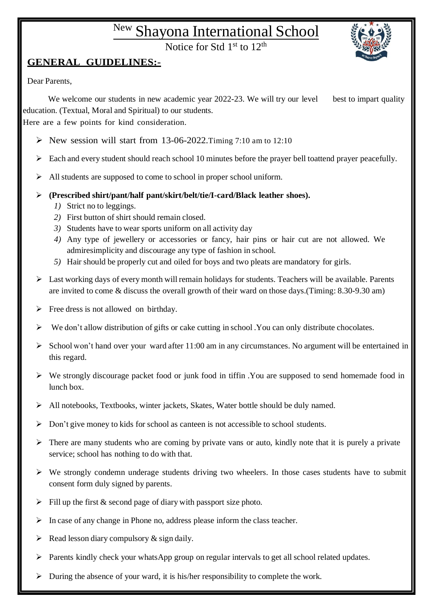## New Shayona International School

Notice for Std 1<sup>st</sup> to 12<sup>th</sup>



## **GENERAL GUIDELINES:-**

Dear Parents,

We welcome our students in new academic year 2022-23. We will try our level best to impart quality education. (Textual, Moral and Spiritual) to our students.

Here are a few points for kind consideration.

- New session will start from 13-06-2022. Timing 7:10 am to 12:10
- Each and every student should reach school 10 minutes before the prayer bell toattend prayer peacefully.
- All students are supposed to come to school in proper school uniform.
- **(Prescribed shirt/pant/half pant/skirt/belt/tie/I-card/Black leather shoes).**
	- *1)* Strict no to leggings.
	- *2)* First button of shirt should remain closed.
	- *3)* Students have to wear sports uniform on all activity day
	- *4)* Any type of jewellery or accessories or fancy, hair pins or hair cut are not allowed. We admiresimplicity and discourage any type of fashion in school.
	- *5)* Hair should be properly cut and oiled for boys and two pleats are mandatory for girls.
- $\triangleright$  Last working days of every month will remain holidays for students. Teachers will be available. Parents are invited to come & discuss the overall growth of their ward on those days.(Timing: 8.30-9.30 am)
- $\triangleright$  Free dress is not allowed on birthday.
- $\triangleright$  We don't allow distribution of gifts or cake cutting in school . You can only distribute chocolates.
- $\triangleright$  School won't hand over your ward after 11:00 am in any circumstances. No argument will be entertained in this regard.
- $\triangleright$  We strongly discourage packet food or junk food in tiffin . You are supposed to send homemade food in lunch box.
- All notebooks, Textbooks, winter jackets, Skates, Water bottle should be duly named.
- $\triangleright$  Don't give money to kids for school as canteen is not accessible to school students.
- $\triangleright$  There are many students who are coming by private vans or auto, kindly note that it is purely a private service; school has nothing to do with that.
- $\triangleright$  We strongly condemn underage students driving two wheelers. In those cases students have to submit consent form duly signed by parents.
- $\triangleright$  Fill up the first & second page of diary with passport size photo.
- $\triangleright$  In case of any change in Phone no, address please inform the class teacher.
- $\triangleright$  Read lesson diary compulsory & sign daily.
- Parents kindly check your whatsApp group on regular intervals to get all school related updates.
- $\triangleright$  During the absence of your ward, it is his/her responsibility to complete the work.